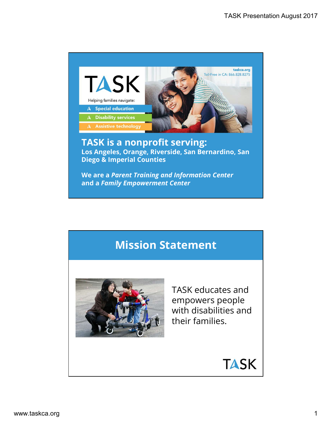

#### TASK is a nonprofit serving: Los Angeles, Orange, Riverside, San Bernardino, San Diego & Imperial Counties

We are a Parent Training and Information Center and a Family Empowerment Center

## Mission Statement



TASK educates and empowers people with disabilities and their families.

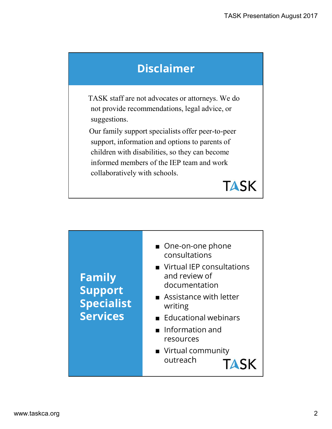# Disclaimer

TASK staff are not advocates or attorneys. We do not provide recommendations, legal advice, or suggestions.

Our family support specialists offer peer-to-peer support, information and options to parents of children with disabilities, so they can become informed members of the IEP team and work collaboratively with schools.



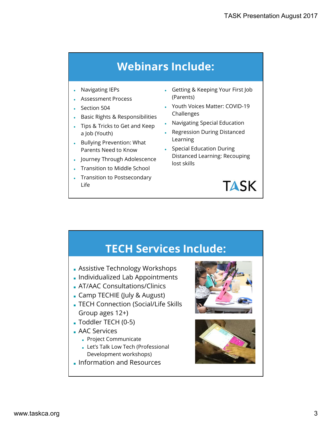# Webinars Include:

- Navigating IEPs **and the set of the set of the set of the set of the set of the set of the set of the set of the set of the set of the set of the set of the set of the set of the set of the set of the set of the set of the**
- Assessment Process
- 
- **Basic Rights & Responsibilities**
- Tips & Tricks to Get and Keep  $\ddot{\hspace{1ex}}$ a Job (Youth)
- Bullying Prevention: What
- Journey Through Adolescence
- **Transition to Middle School**
- **Transition to Postsecondary** Life
- Getting & Keeping Your First Job (Parents)
- Section 504 Youth Voices Matter: COVID-19 Challenges
	- **Navigating Special Education**
	- **Regression During Distanced** Learning
	- Parents Need to Know **•** Special Education During Distanced Learning: Recouping lost skills



### TECH Services Include:

- Assistive Technology Workshops
- Individualized Lab Appointments
- AT/AAC Consultations/Clinics
- Camp TECHIE (July & August)
- TECH Connection (Social/Life Skills Group ages 12+)
- Toddler TECH (0-5)
- AAC Services
	- Project Communicate
	- Let's Talk Low Tech (Professional Development workshops)
- Information and Resources



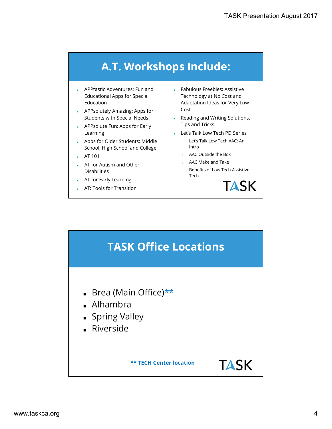# A.T. Workshops Include:

- Educational Apps for Special
- Students with Special Needs
- 
- Apps for Older Students: Middle School, High School and College
- AT 101
- AT for Autism and Other Disabilities
- 
- AT: Tools for Transition
- TASK Presentation A<br> **A.T. Workshops Include:**<br>
APPtastic Adventures: Fun and<br>
Educational Apps for Special<br>
Education Apps for Special<br>
APPsolutely Amazing: Apps for<br>
Students with Special Peeds<br>
APPsolute Fun: Apps for E Education Adaptation Ideas for Very Low **A.T. Workshops Include:**<br>
A.T. Workshops Include:<br>
APPtastic Adventures: Fun and<br>
Education<br>
Education<br>
Education<br>
Apps for Special<br>
Adaptation Ideas for Very Low<br>
APPsolutely Amazing: Apps for<br>
Students with Special Need **Example 19 TASK Presentation A<br>
A.T. Workshops Include:**<br>
APPtastic Adventures: Fun and<br>
Education apps for Special<br>
Function Apps for Special<br>
Apps for Cost<br>
Students with Special Needs<br>
Learling<br>
APPsolute Fun: Apps for • Fabulous Freebies: Assistive Technology at No Cost and Cost
	- Reading and Writing Solutions, Tips and Tricks
	- Learning Let's Talk Low Tech PD Series |
		- Let's Talk Low Tech AAC: An Intro
		- AAC Outside the Box
		- AAC Make and Take
		- Benefits of Low Tech Assistive Tech in the contract of the contract of the contract of the contract of the contract of the contract of the contract of the contract of the contract of the contract of the contract of the contract of the contract of the co